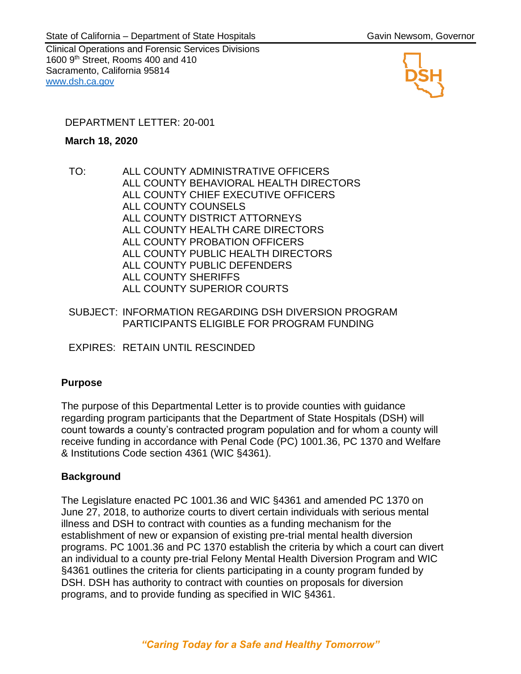Clinical Operations and Forensic Services Divisions 1600 9<sup>th</sup> Street, Rooms 400 and 410 Sacramento, California 95814 [www.dsh.ca.gov](http://www.dsh.ca.gov/)



### DEPARTMENT LETTER: 20-001

#### **March 18, 2020**

TO: ALL COUNTY ADMINISTRATIVE OFFICERS ALL COUNTY BEHAVIORAL HEALTH DIRECTORS ALL COUNTY CHIEF EXECUTIVE OFFICERS ALL COUNTY COUNSELS ALL COUNTY DISTRICT ATTORNEYS ALL COUNTY HEALTH CARE DIRECTORS ALL COUNTY PROBATION OFFICERS ALL COUNTY PUBLIC HEALTH DIRECTORS ALL COUNTY PUBLIC DEFENDERS ALL COUNTY SHERIFFS ALL COUNTY SUPERIOR COURTS

#### SUBJECT: INFORMATION REGARDING DSH DIVERSION PROGRAM PARTICIPANTS ELIGIBLE FOR PROGRAM FUNDING

EXPIRES: RETAIN UNTIL RESCINDED

# **Purpose**

The purpose of this Departmental Letter is to provide counties with guidance regarding program participants that the Department of State Hospitals (DSH) will count towards a county's contracted program population and for whom a county will receive funding in accordance with Penal Code (PC) 1001.36, PC 1370 and Welfare & Institutions Code section 4361 (WIC §4361).

# **Background**

The Legislature enacted PC 1001.36 and WIC §4361 and amended PC 1370 on June 27, 2018, to authorize courts to divert certain individuals with serious mental illness and DSH to contract with counties as a funding mechanism for the establishment of new or expansion of existing pre-trial mental health diversion programs. PC 1001.36 and PC 1370 establish the criteria by which a court can divert an individual to a county pre-trial Felony Mental Health Diversion Program and WIC §4361 outlines the criteria for clients participating in a county program funded by DSH. DSH has authority to contract with counties on proposals for diversion programs, and to provide funding as specified in WIC §4361.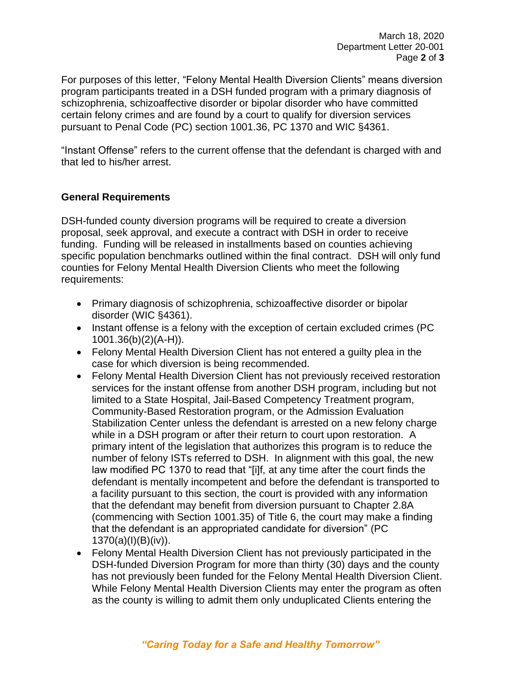For purposes of this letter, "Felony Mental Health Diversion Clients" means diversion program participants treated in a DSH funded program with a primary diagnosis of schizophrenia, schizoaffective disorder or bipolar disorder who have committed certain felony crimes and are found by a court to qualify for diversion services pursuant to Penal Code (PC) section 1001.36, PC 1370 and WIC §4361.

"Instant Offense" refers to the current offense that the defendant is charged with and that led to his/her arrest.

### **General Requirements**

DSH-funded county diversion programs will be required to create a diversion proposal, seek approval, and execute a contract with DSH in order to receive funding. Funding will be released in installments based on counties achieving specific population benchmarks outlined within the final contract. DSH will only fund counties for Felony Mental Health Diversion Clients who meet the following requirements:

- Primary diagnosis of schizophrenia, schizoaffective disorder or bipolar disorder (WIC §4361).
- Instant offense is a felony with the exception of certain excluded crimes (PC 1001.36(b)(2)(A-H)).
- Felony Mental Health Diversion Client has not entered a guilty plea in the case for which diversion is being recommended.
- Felony Mental Health Diversion Client has not previously received restoration services for the instant offense from another DSH program, including but not limited to a State Hospital, Jail-Based Competency Treatment program, Community-Based Restoration program, or the Admission Evaluation Stabilization Center unless the defendant is arrested on a new felony charge while in a DSH program or after their return to court upon restoration. A primary intent of the legislation that authorizes this program is to reduce the number of felony ISTs referred to DSH. In alignment with this goal, the new law modified PC 1370 to read that "[i]f, at any time after the court finds the defendant is mentally incompetent and before the defendant is transported to a facility pursuant to this section, the court is provided with any information that the defendant may benefit from diversion pursuant to Chapter 2.8A (commencing with Section 1001.35) of Title 6, the court may make a finding that the defendant is an appropriated candidate for diversion" (PC 1370(a)(I)(B)(iv)).
- Felony Mental Health Diversion Client has not previously participated in the DSH-funded Diversion Program for more than thirty (30) days and the county has not previously been funded for the Felony Mental Health Diversion Client. While Felony Mental Health Diversion Clients may enter the program as often as the county is willing to admit them only unduplicated Clients entering the